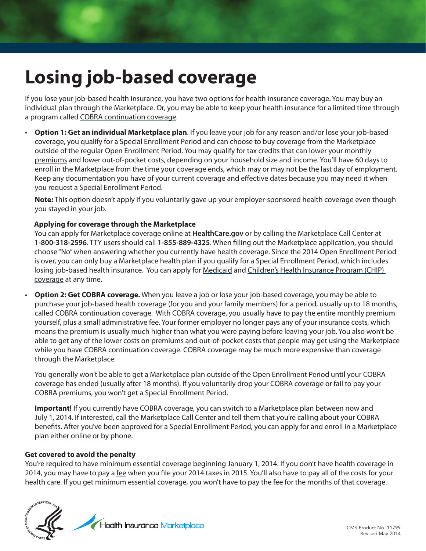# **Losing job-based coverage**

If you lose your job-based health insurance, you have two options for health insurance coverage. You may buy an individual plan through the Marketplace. Or, you may be able to keep your health insurance for a limited time through a program called [COBRA continuation coverage](https://www.healthcare.gov/what-if-i-currently-have-cobra-coverage/).

• **Option 1: Get an individual Marketplace plan**. If you leave your job for any reason and/or lose your job-based coverage, you qualify for a Special Enrollment Period and can choose to buy coverage from the Marketplace outside of the regular Open Enrollment Period. You may qualify for tax credits that can lower your monthly premiums and lower out-of-pocket costs, depending on your household size and income. You'll have 60 days to enroll in the Marketplace from the time your coverage ends, which may or may not be the last day of employment. Keep any documentation you have of your current coverage and effective dates because you may need it when you request a Special Enrollment Period.

**Note:** This option doesn't apply if you voluntarily gave up your employer-sponsored health coverage even though you stayed in your job.

# **Applying for coverage through the Marketplace**

You can apply for Marketplace coverage online at **HealthCare.gov** or by calling the Marketplace Call Center at **1-800-318-2596**. TTY users should call **1-855-889-4325**. When filling out the Marketplace application, you should choose "No" when answering whether you currently have health coverage. Since the 2014 Open Enrollment Period is over, you can only buy a Marketplace health plan if you qualify for a Special Enrollment Period, which includes losing job-based health insurance. You can apply for [Medicaid](https://www.healthcare.gov/do-i-qualify-for-medicaid) and [Children's Health Insurance Program \(CHIP\)](https://www.healthcare.gov/are-my-children-eligible-for-chip)  [coverage](https://www.healthcare.gov/are-my-children-eligible-for-chip) at any time.

• **Option 2: Get COBRA coverage.** When you leave a job or lose your job-based coverage, you may be able to purchase your job-based health coverage (for you and your family members) for a period, usually up to 18 months, called COBRA continuation coverage. With COBRA coverage, you usually have to pay the entire monthly premium yourself, plus a small administrative fee. Your former employer no longer pays any of your insurance costs, which means the premium is usually much higher than what you were paying before leaving your job. You also won't be able to get any of the lower costs on premiums and out-of-pocket costs that people may get using the Marketplace while you have COBRA continuation coverage. COBRA coverage may be much more expensive than coverage through the Marketplace.

You generally won't be able to get a Marketplace plan outside of the Open Enrollment Period until your COBRA coverage has ended (usually after 18 months). If you voluntarily drop your COBRA coverage or fail to pay your COBRA premiums, you won't get a Special Enrollment Period.

**Important!** If you currently have COBRA coverage, you can switch to a Marketplace plan between now and July 1, 2014. If interested, call the Marketplace Call Center and tell them that you're calling about your COBRA benefits. After you've been approved for a Special Enrollment Period, you can apply for and enroll in a Marketplace plan either online or by phone.

#### **Get covered to avoid the penalty**

You're required to have [minimum essential coverage](https://www.healthcare.gov/glossary/minimum-essential-coverage) beginning January 1, 2014. If you don't have health coverage in 2014, you may have to pay a [fee](https://www.healthcare.gov/what-if-i-dont-have-health-coverage/) when you file your 2014 taxes in 2015. You'll also have to pay all of the costs for your health care. If you get minimum essential coverage, you won't have to pay the fee for the months of that coverage.

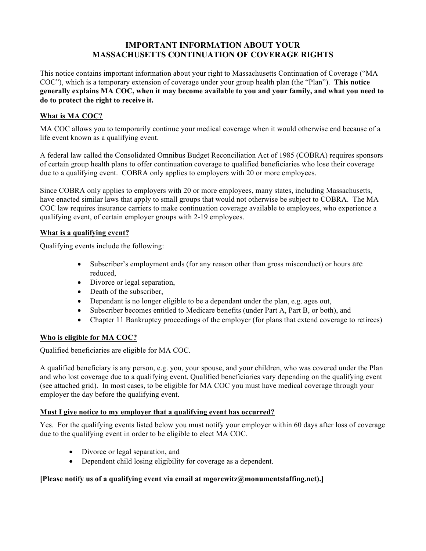# **IMPORTANT INFORMATION ABOUT YOUR MASSACHUSETTS CONTINUATION OF COVERAGE RIGHTS**

This notice contains important information about your right to Massachusetts Continuation of Coverage ("MA COC"), which is a temporary extension of coverage under your group health plan (the "Plan"). **This notice generally explains MA COC, when it may become available to you and your family, and what you need to do to protect the right to receive it.**

# **What is MA COC?**

MA COC allows you to temporarily continue your medical coverage when it would otherwise end because of a life event known as a qualifying event.

A federal law called the Consolidated Omnibus Budget Reconciliation Act of 1985 (COBRA) requires sponsors of certain group health plans to offer continuation coverage to qualified beneficiaries who lose their coverage due to a qualifying event. COBRA only applies to employers with 20 or more employees.

Since COBRA only applies to employers with 20 or more employees, many states, including Massachusetts, have enacted similar laws that apply to small groups that would not otherwise be subject to COBRA. The MA COC law requires insurance carriers to make continuation coverage available to employees, who experience a qualifying event, of certain employer groups with 2-19 employees.

# **What is a qualifying event?**

Qualifying events include the following:

- Subscriber's employment ends (for any reason other than gross misconduct) or hours are reduced,
- Divorce or legal separation,
- Death of the subscriber,
- Dependant is no longer eligible to be a dependant under the plan, e.g. ages out,
- Subscriber becomes entitled to Medicare benefits (under Part A, Part B, or both), and
- Chapter 11 Bankruptcy proceedings of the employer (for plans that extend coverage to retirees)

# **Who is eligible for MA COC?**

Qualified beneficiaries are eligible for MA COC.

A qualified beneficiary is any person, e.g. you, your spouse, and your children, who was covered under the Plan and who lost coverage due to a qualifying event. Qualified beneficiaries vary depending on the qualifying event (see attached grid). In most cases, to be eligible for MA COC you must have medical coverage through your employer the day before the qualifying event.

# **Must I give notice to my employer that a qualifying event has occurred?**

Yes. For the qualifying events listed below you must notify your employer within 60 days after loss of coverage due to the qualifying event in order to be eligible to elect MA COC.

- Divorce or legal separation, and
- Dependent child losing eligibility for coverage as a dependent.

# **[Please notify us of a qualifying event via email at mgorewitz@monumentstaffing.net).]**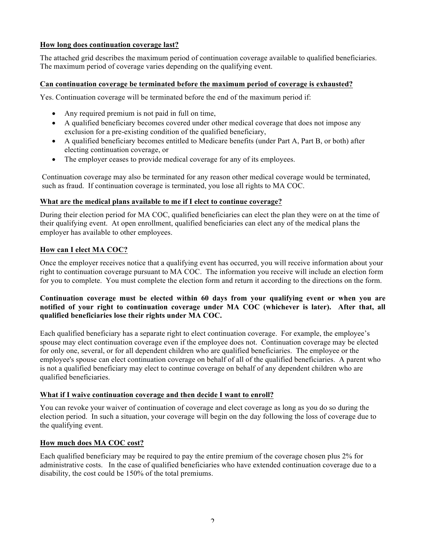#### **How long does continuation coverage last?**

The attached grid describes the maximum period of continuation coverage available to qualified beneficiaries. The maximum period of coverage varies depending on the qualifying event.

#### **Can continuation coverage be terminated before the maximum period of coverage is exhausted?**

Yes. Continuation coverage will be terminated before the end of the maximum period if:

- Any required premium is not paid in full on time,
- A qualified beneficiary becomes covered under other medical coverage that does not impose any exclusion for a pre-existing condition of the qualified beneficiary,
- A qualified beneficiary becomes entitled to Medicare benefits (under Part A, Part B, or both) after electing continuation coverage, or
- The employer ceases to provide medical coverage for any of its employees.

Continuation coverage may also be terminated for any reason other medical coverage would be terminated, such as fraud. If continuation coverage is terminated, you lose all rights to MA COC.

#### **What are the medical plans available to me if I elect to continue coverage?**

During their election period for MA COC, qualified beneficiaries can elect the plan they were on at the time of their qualifying event. At open enrollment, qualified beneficiaries can elect any of the medical plans the employer has available to other employees.

#### **How can I elect MA COC?**

Once the employer receives notice that a qualifying event has occurred, you will receive information about your right to continuation coverage pursuant to MA COC. The information you receive will include an election form for you to complete. You must complete the election form and return it according to the directions on the form.

#### **Continuation coverage must be elected within 60 days from your qualifying event or when you are notified of your right to continuation coverage under MA COC (whichever is later). After that, all qualified beneficiaries lose their rights under MA COC.**

Each qualified beneficiary has a separate right to elect continuation coverage. For example, the employee's spouse may elect continuation coverage even if the employee does not. Continuation coverage may be elected for only one, several, or for all dependent children who are qualified beneficiaries. The employee or the employee's spouse can elect continuation coverage on behalf of all of the qualified beneficiaries. A parent who is not a qualified beneficiary may elect to continue coverage on behalf of any dependent children who are qualified beneficiaries.

#### **What if I waive continuation coverage and then decide I want to enroll?**

You can revoke your waiver of continuation of coverage and elect coverage as long as you do so during the election period. In such a situation, your coverage will begin on the day following the loss of coverage due to the qualifying event.

#### **How much does MA COC cost?**

Each qualified beneficiary may be required to pay the entire premium of the coverage chosen plus 2% for administrative costs. In the case of qualified beneficiaries who have extended continuation coverage due to a disability, the cost could be 150% of the total premiums.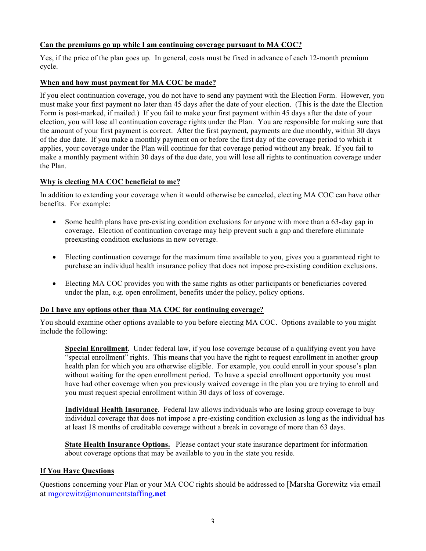#### **Can the premiums go up while I am continuing coverage pursuant to MA COC?**

Yes, if the price of the plan goes up. In general, costs must be fixed in advance of each 12-month premium cycle.

#### **When and how must payment for MA COC be made?**

If you elect continuation coverage, you do not have to send any payment with the Election Form. However, you must make your first payment no later than 45 days after the date of your election. (This is the date the Election Form is post-marked, if mailed.) If you fail to make your first payment within 45 days after the date of your election, you will lose all continuation coverage rights under the Plan. You are responsible for making sure that the amount of your first payment is correct. After the first payment, payments are due monthly, within 30 days of the due date. If you make a monthly payment on or before the first day of the coverage period to which it applies, your coverage under the Plan will continue for that coverage period without any break. If you fail to make a monthly payment within 30 days of the due date, you will lose all rights to continuation coverage under the Plan.

#### **Why is electing MA COC beneficial to me?**

In addition to extending your coverage when it would otherwise be canceled, electing MA COC can have other benefits. For example:

- Some health plans have pre-existing condition exclusions for anyone with more than a 63-day gap in coverage. Election of continuation coverage may help prevent such a gap and therefore eliminate preexisting condition exclusions in new coverage.
- Electing continuation coverage for the maximum time available to you, gives you a guaranteed right to purchase an individual health insurance policy that does not impose pre-existing condition exclusions.
- Electing MA COC provides you with the same rights as other participants or beneficiaries covered under the plan, e.g. open enrollment, benefits under the policy, policy options.

#### **Do I have any options other than MA COC for continuing coverage?**

You should examine other options available to you before electing MA COC. Options available to you might include the following:

**Special Enrollment.** Under federal law, if you lose coverage because of a qualifying event you have "special enrollment" rights. This means that you have the right to request enrollment in another group health plan for which you are otherwise eligible. For example, you could enroll in your spouse's plan without waiting for the open enrollment period. To have a special enrollment opportunity you must have had other coverage when you previously waived coverage in the plan you are trying to enroll and you must request special enrollment within 30 days of loss of coverage.

**Individual Health Insurance**. Federal law allows individuals who are losing group coverage to buy individual coverage that does not impose a pre-existing condition exclusion as long as the individual has at least 18 months of creditable coverage without a break in coverage of more than 63 days.

**State Health Insurance Options.** Please contact your state insurance department for information about coverage options that may be available to you in the state you reside.

#### **If You Have Questions**

Questions concerning your Plan or your MA COC rights should be addressed to [Marsha Gorewitz via email at mgorewitz@monumentstaffing**.net**